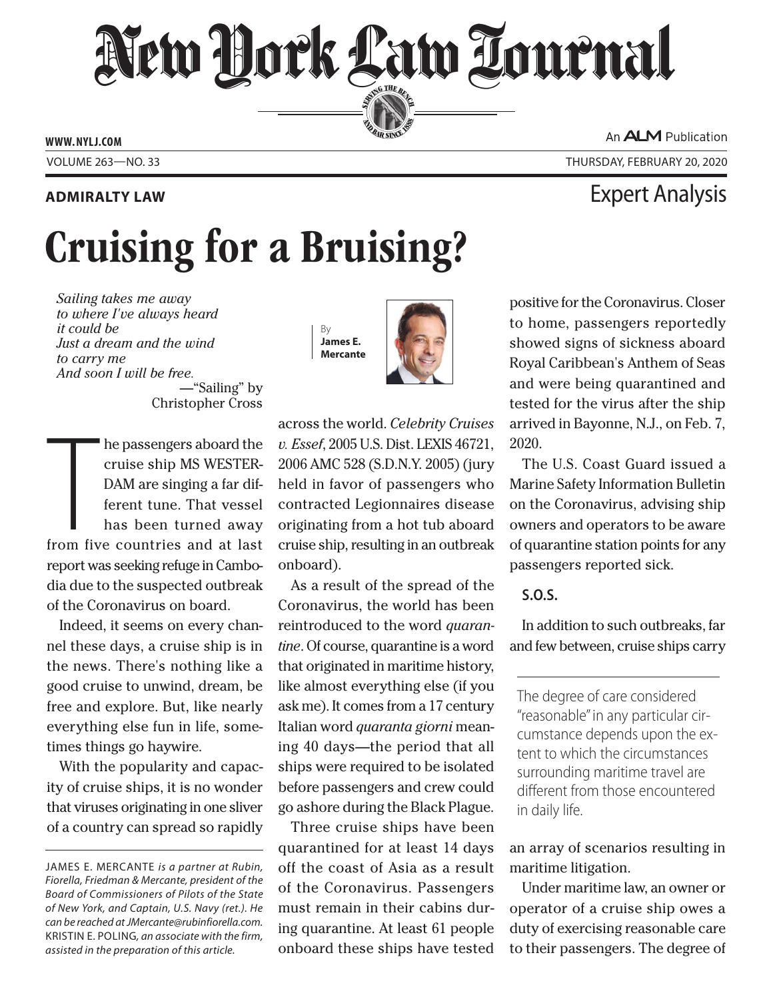## New Dock Law Lournal SERVING THE BEN

**ED BAR SINCE 188** 

**www. NYLJ.com**

Volume 263—NO. 33 Thursday, February 20, 2020

# Cruising for a Bruising?

*Sailing takes me away to where I've always heard it could be Just a dream and the wind to carry me And soon I will be free.*

—"Sailing" by Christopher Cross

The passengers aboard the<br>cruise ship MS WESTER-<br>DAM are singing a far dif-<br>ferent tune. That vessel<br>has been turned away<br>from five countries and at last he passengers aboard the cruise ship MS WESTER-DAM are singing a far different tune. That vessel has been turned away report was seeking refuge in Cambodia due to the suspected outbreak of the Coronavirus on board.

Indeed, it seems on every channel these days, a cruise ship is in the news. There's nothing like a good cruise to unwind, dream, be free and explore. But, like nearly everything else fun in life, sometimes things go haywire.

With the popularity and capacity of cruise ships, it is no wonder that viruses originating in one sliver of a country can spread so rapidly

across the world. *Celebrity Cruises v. Essef*, 2005 U.S. Dist. LEXIS 46721, 2006 AMC 528 (S.D.N.Y. 2005) (jury held in favor of passengers who contracted Legionnaires disease originating from a hot tub aboard cruise ship, resulting in an outbreak onboard).

As a result of the spread of the Coronavirus, the world has been reintroduced to the word *quarantine*. Of course, quarantine is a word that originated in maritime history, like almost everything else (if you ask me). It comes from a 17 century Italian word *quaranta giorni* meaning 40 days—the period that all ships were required to be isolated before passengers and crew could go ashore during the Black Plague.

Three cruise ships have been quarantined for at least 14 days off the coast of Asia as a result of the Coronavirus. Passengers must remain in their cabins during quarantine. At least 61 people onboard these ships have tested

positive for the Coronavirus. Closer to home, passengers reportedly showed signs of sickness aboard Royal Caribbean's Anthem of Seas and were being quarantined and tested for the virus after the ship arrived in Bayonne, N.J., on Feb. 7, 2020.

The U.S. Coast Guard issued a Marine Safety Information Bulletin on the Coronavirus, advising ship owners and operators to be aware of quarantine station points for any passengers reported sick.

## **S.O.S.**

In addition to such outbreaks, far and few between, cruise ships carry

The degree of care considered "reasonable" in any particular circumstance depends upon the extent to which the circumstances surrounding maritime travel are different from those encountered in daily life.

an array of scenarios resulting in maritime litigation.

Under maritime law, an owner or operator of a cruise ship owes a duty of exercising reasonable care to their passengers. The degree of

By **James E. Mercante**



An **ALM** Publication

## **Admiralty Law** Expert Analysis

James E. Mercante *is a partner at Rubin, Fiorella, Friedman & Mercante, president of the Board of Commissioners of Pilots of the State of New York, and Captain, U.S. Navy (ret.). He can be reached at JMercante@rubinfiorella.com.*  Kristin E. Poling*, an associate with the firm, assisted in the preparation of this article.*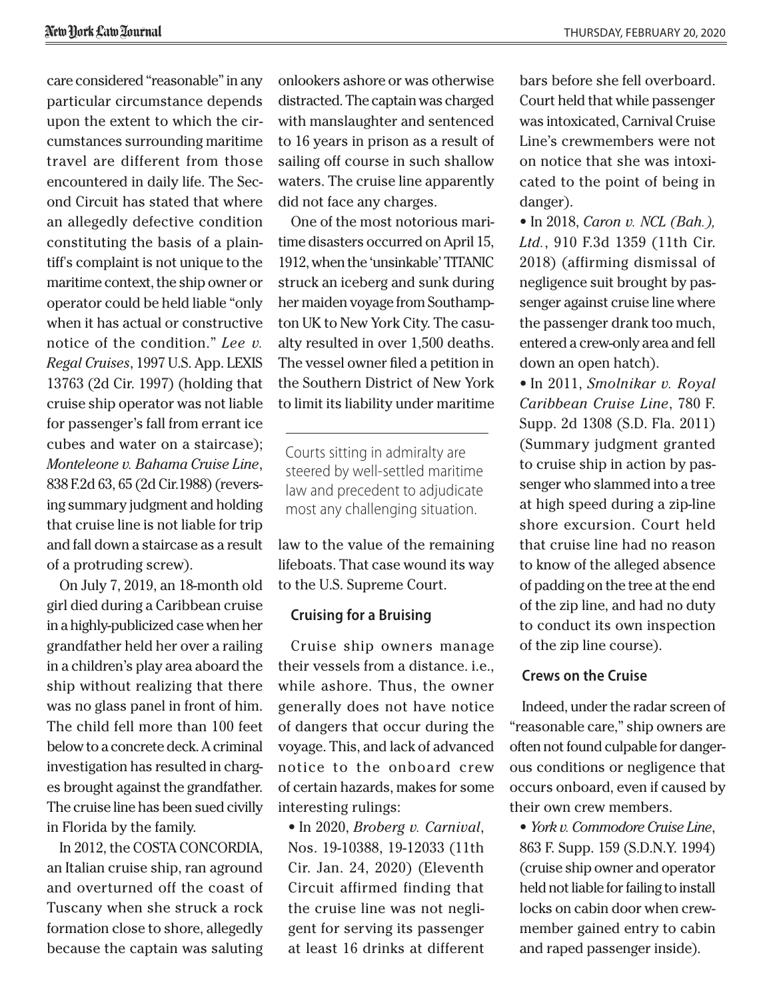care considered "reasonable" in any particular circumstance depends upon the extent to which the circumstances surrounding maritime travel are different from those encountered in daily life. The Second Circuit has stated that where an allegedly defective condition constituting the basis of a plaintiff's complaint is not unique to the maritime context, the ship owner or operator could be held liable "only when it has actual or constructive notice of the condition." *Lee v. Regal Cruises*, 1997 U.S. App. LEXIS 13763 (2d Cir. 1997) (holding that cruise ship operator was not liable for passenger's fall from errant ice cubes and water on a staircase); *Monteleone v. Bahama Cruise Line*, 838 F.2d 63, 65 (2d Cir.1988) (reversing summary judgment and holding that cruise line is not liable for trip and fall down a staircase as a result of a protruding screw).

On July 7, 2019, an 18-month old girl died during a Caribbean cruise in a highly-publicized case when her grandfather held her over a railing in a children's play area aboard the ship without realizing that there was no glass panel in front of him. The child fell more than 100 feet below to a concrete deck. A criminal investigation has resulted in charges brought against the grandfather. The cruise line has been sued civilly in Florida by the family.

In 2012, the COSTA CONCORDIA, an Italian cruise ship, ran aground and overturned off the coast of Tuscany when she struck a rock formation close to shore, allegedly because the captain was saluting onlookers ashore or was otherwise distracted. The captain was charged with manslaughter and sentenced to 16 years in prison as a result of sailing off course in such shallow waters. The cruise line apparently did not face any charges.

One of the most notorious maritime disasters occurred on April 15, 1912, when the 'unsinkable' TITANIC struck an iceberg and sunk during her maiden voyage from Southampton UK to New York City. The casualty resulted in over 1,500 deaths. The vessel owner filed a petition in the Southern District of New York to limit its liability under maritime

Courts sitting in admiralty are steered by well-settled maritime law and precedent to adjudicate most any challenging situation.

law to the value of the remaining lifeboats. That case wound its way to the U.S. Supreme Court.

### **Cruising for a Bruising**

Cruise ship owners manage their vessels from a distance. i.e., while ashore. Thus, the owner generally does not have notice of dangers that occur during the voyage. This, and lack of advanced notice to the onboard crew of certain hazards, makes for some interesting rulings:

• In 2020, *Broberg v. Carnival*, Nos. 19-10388, 19-12033 (11th Cir. Jan. 24, 2020) (Eleventh Circuit affirmed finding that the cruise line was not negligent for serving its passenger at least 16 drinks at different bars before she fell overboard. Court held that while passenger was intoxicated, Carnival Cruise Line's crewmembers were not on notice that she was intoxicated to the point of being in danger).

• In 2018, *Caron v. NCL (Bah.), Ltd.*, 910 F.3d 1359 (11th Cir. 2018) (affirming dismissal of negligence suit brought by passenger against cruise line where the passenger drank too much, entered a crew-only area and fell down an open hatch).

• In 2011, *Smolnikar v. Royal Caribbean Cruise Line*, 780 F. Supp. 2d 1308 (S.D. Fla. 2011) (Summary judgment granted to cruise ship in action by passenger who slammed into a tree at high speed during a zip-line shore excursion. Court held that cruise line had no reason to know of the alleged absence of padding on the tree at the end of the zip line, and had no duty to conduct its own inspection of the zip line course).

## **Crews on the Cruise**

Indeed, under the radar screen of "reasonable care," ship owners are often not found culpable for dangerous conditions or negligence that occurs onboard, even if caused by their own crew members.

• *York v. Commodore Cruise Line*, 863 F. Supp. 159 (S.D.N.Y. 1994) (cruise ship owner and operator held not liable for failing to install locks on cabin door when crewmember gained entry to cabin and raped passenger inside).